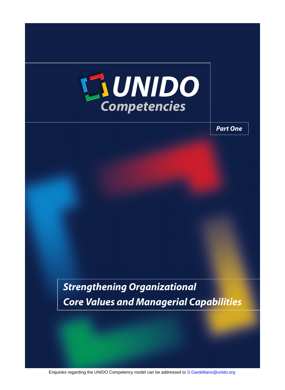

*Part One*

*Strengthening Organizational Core Values and Managerial Capabilities*

Enquiries regarding the UNIDO Competency model can be addressed to [S.Gardelliano@unido.org](mailto:S.Gardelliano@unido.org)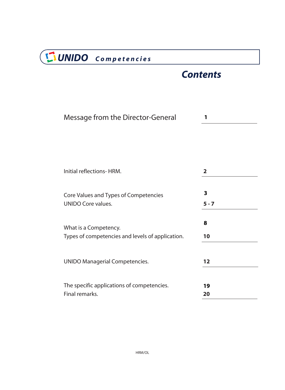# *Contents*

| Message from the Director-General                |                         |
|--------------------------------------------------|-------------------------|
| Initial reflections-HRM.                         | $\overline{2}$          |
| Core Values and Types of Competencies            | $\overline{\mathbf{3}}$ |
| <b>UNIDO Core values.</b>                        | $5 - 7$                 |
| What is a Competency.                            | 8                       |
| Types of competencies and levels of application. | 10                      |
| <b>UNIDO Managerial Competencies.</b>            | 12                      |
| The specific applications of competencies.       | 19                      |
| Final remarks.                                   | 20                      |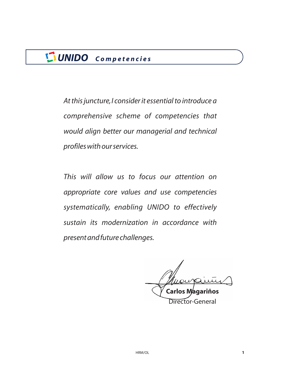<span id="page-2-0"></span>*At this juncture,I consider it essential to introduce a comprehensive scheme of competencies that would align better our managerial and technical profiles with our services.*

*This will allow us to focus our attention on appropriate core values and use competencies systematically, enabling UNIDO to effectively sustain its modernization in accordance with present and future challenges.*

**Carlos Magariños**

Director-General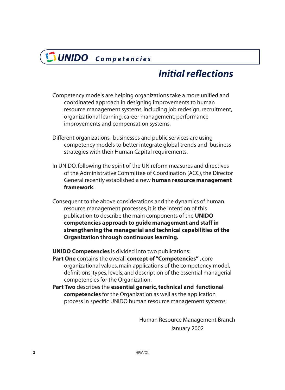# *Initial reflections*

- <span id="page-3-0"></span>Competency models are helping organizations take a more unified and coordinated approach in designing improvements to human resource management systems, including job redesign, recruitment, organizational learning, career management, performance improvements and compensation systems.
- Different organizations, businesses and public services are using competency models to better integrate global trends and business strategies with their Human Capital requirements.
- In UNIDO, following the spirit of the UN reform measures and directives of the Administrative Committee of Coordination (ACC), the Director General recently established a new **human resource management** . **framework**
- Consequent to the above considerations and the dynamics of human resource management processes, it is the intention of this publication to describe the main components of the **UNIDO competencies approach to guide management and staff in strengthening the managerial and technical capabilities of the Organization through continuous learning.**

**UNIDO Competencies** is divided into two publications:

- **Part One** contains the overall **concept of "Competencies"**, core organizational values, main applications of the competency model, definitions, types, levels, and description of the essential managerial competencies for the Organization.
- Part Two describes the essential generic, technical and functional **competencies** for the Organization as well as the application process in specific UNIDO human resource management systems.

Human Resource Management Branch January 2002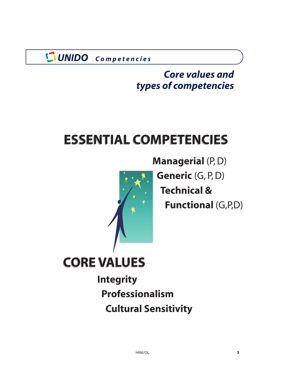# *Core values and types of competencies*

# <span id="page-4-0"></span>**ESSENTIAL COMPETENCIES [ESSENTIAL COMPETENCIES](#page-9-0)**



**[Managerial](#page-11-0)** (P, D)

**Generic** (G, P, D)

**Technical &**

**Functional** (G,P,D)



**[Integrity](#page-6-0) [Professionalism](#page-7-0) [Cultural Sensitivity](#page-8-0)**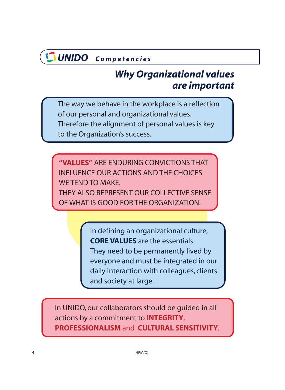# *Why Organizational values are important*

<span id="page-5-0"></span>The way we behave in the workplace is a reflection of our personal and organizational values. Therefore the alignment of personal values is key to the Organization's success.

**"VALUES"** ARE ENDURING CONVICTIONS THAT INFLUENCE OUR ACTIONS AND THE CHOICES WE TEND TO MAKE. THEY ALSO REPRESENT OUR COLLECTIVE SENSE OF WHAT IS GOOD FOR THE ORGANIZATION.

> In defining an organizational culture, **CORE VALUES** are the essentials. They need to be permanently lived by everyone and must be integrated in our daily interaction with colleagues, clients and society at large.

In UNIDO, our collaborators should be guided in all actions by a commitment to **INTEGRITY** , PROFESSIONALISM and CULTURAL SENSITIVITY.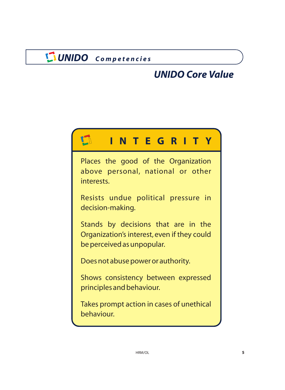# *UNIDO Core Value*

<span id="page-6-0"></span>

| <b>INTEGRITY</b>                                                                                                 |
|------------------------------------------------------------------------------------------------------------------|
| Places the good of the Organization<br>above personal, national or other<br>interests.                           |
| Resists undue political pressure in<br>decision-making.                                                          |
| Stands by decisions that are in the<br>Organization's interest, even if they could<br>be perceived as unpopular. |
| Does not abuse power or authority.                                                                               |
| Shows consistency between expressed<br>principles and behaviour.                                                 |
| Takes prompt action in cases of unethical<br>behaviour.                                                          |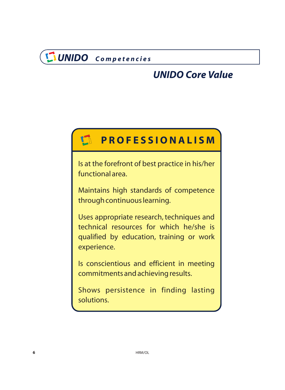# *UNIDO Core Value*

#### <span id="page-7-0"></span> $\mathbb{F}_1$ **PROFESSIONALISM**

Is at the forefront of best practice in his/her functional area.

Maintains high standards of competence through continuous learning.

Uses appropriate research, techniques and technical resources for which he/she is qualified by education, training or work experience.

Is conscientious and efficient in meeting commitments and achieving results.

Shows persistence in finding lasting solutions.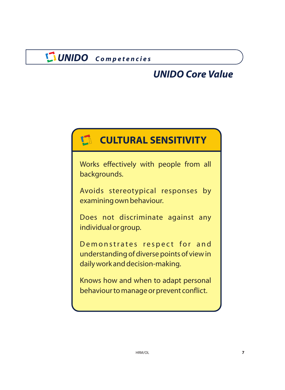# *UNIDO Core Value*

# <span id="page-8-0"></span>**CULTURAL SENSITIVITY**

Works effectively with people from all backgrounds.

Avoids stereotypical responses by examining own behaviour.

Does not discriminate against any individual or group.

Demonstrates respect for and understanding of diverse points of view in daily work and decision-making.

Knows how and when to adapt personal behaviour to manage or prevent conflict.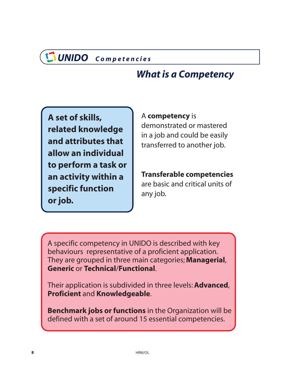# *What is a Competency*

<span id="page-9-0"></span>**A set of skills, related knowledge and attributes that allow an individual to perform a task or an activity within a specific function or job.**

### A **competency** is

demonstrated or mastered in a job and could be easily transferred to another job.

# **Transferable competencies**

are basic and critical units of any job.

A specific competency in UNIDO is described with key behaviours representative of a proficient application. They are grouped in three main categories; **Managerial**, **Generic or Technical/Functional.** 

Their application is subdivided in three levels: **Advanced**, Proficient and Knowledgeable.

Benchmark jobs or functions in the Organization will be defined with a set of around 15 essential competencies.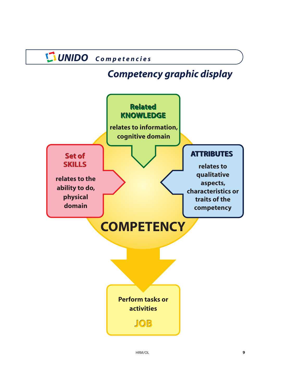# *Competency graphic display*

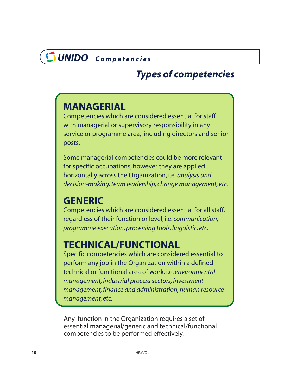# *Types of competencies*

# <span id="page-11-0"></span>**MANAGERIAL**

Competencies which are considered essential for staff with managerial or supervisory responsibility in any service or programme area, including directors and senior posts.

Some managerial competencies could be more relevant for specific occupations, however they are applied horizontally across the Organization, i.e. *analysis and [decision-making, team leadership, change management, etc.](#page-13-0)*

### **GENERIC**

Competencies which are considered essential for all staff, regardless of their function or level, i.e. *communication, programme execution, processing tools, linguistic, etc.*

# **TECHNICAL/FUNCTIONAL**

Specific competencies which are considered essential to perform any job in the Organization within a defined technical or functional area of work, i.e. *environmental management, industrial process sectors, investment management, finance and administration, human resource management, etc.*

Any function in the Organization requires a set of essential managerial/generic and technical/functional competencies to be performed effectively.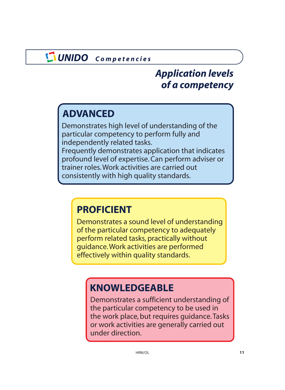# *Application levels of a competency*

# **ADVANCED**

Demonstrates high level of understanding of the particular competency to perform fully and independently related tasks. Frequently demonstrates application that indicates

profound level of expertise. Can perform adviser or trainer roles.Work activities are carried out consistently with high quality standards.

# **PROFICIENT**

Demonstrates a sound level of understanding of the particular competency to adequately perform related tasks, practically without guidance.Work activities are performed effectively within quality standards.

# **KNOWLEDGEABLE**

Demonstrates a sufficient understanding of the particular competency to be used in the work place, but requires guidance.Tasks or work activities are generally carried out under direction.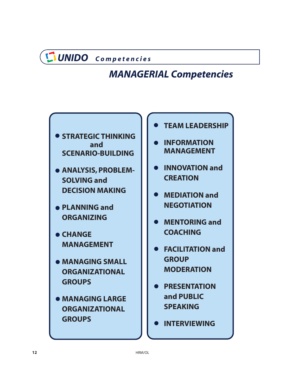# <span id="page-13-0"></span>*MANAGERIAL Competencies*

- $\bullet$  **STRATEGIC THINKING and SCENARIO-BUILDING**
- **[ANALYSIS, PROBLEM-](#page-14-0)SOLVING and DECISION MAKING**
- **[PLANNING and](#page-15-0) ORGANIZING**
- **CHANGE MANAGEMENT**
- $\bullet$  **[MANAGING SMALL](#page-16-0) ORGANIZATIONAL GROUPS**
- **MANAGING LARGE ORGANIZATIONAL GROUPS**
- **[TEAM LEADERSHIP](#page-17-0)**
- **INFORMATION MANAGEMENT**
- **[INNOVATION and](#page-18-0) CREATION**
- **MEDIATION and NEGOTIATION**
- **MENTORING and COACHING**
- **[FACILITATION and](#page-19-0) GROUP MODERATION**
- **[PRESENTATION](#page-20-0) and PUBLIC SPEAKING**
- **INTERVIEWING**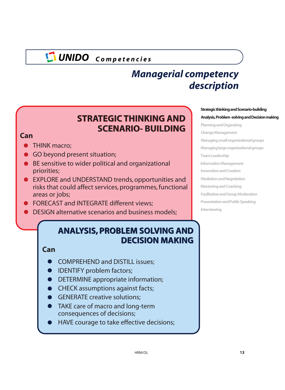# *Managerial competency description*

### **STRATEGIC THINKING AND STRATEGIC THINKING AND SCENARIO- BUILDING SCENARIO- BUILDING**

### <span id="page-14-0"></span>**Can**

- **THINK macro:**
- GO beyond present situation;
- BE sensitive to wider political and organizational priorities;
- EXPLORE and UNDERSTAND trends, opportunities and risks that could affect services, programmes, functional areas or jobs;
- **FORECAST and INTEGRATE different views;**
- DESIGN alternative scenarios and business models;

### **ANALYSIS, PROBLEM SOLVING AND DECISION MAKING**

### **Can**

- COMPREHEND and DISTILL issues;
- **IDENTIFY problem factors;**
- DETERMINE appropriate information;
- **CHECK assumptions against facts;**
- **GENERATE creative solutions;**
- TAKE care of macro and long-term consequences of decisions;
- HAVE courage to take effective decisions;

#### **Strategic thinking and Scenario-building**

#### **Analysis, Problem -solving and Decision making**

**[Planning and Organizing](#page-15-0) Change Management [Managing small organizational groups](#page-16-0) Managing large organizational groups Team Leadership [Information Management](#page-17-0) Innovation and Creation [Mediation and Negotiation](#page-18-0) Mentoring and Coaching [Facilitation and Group Moderation](#page-19-0) [Presentation and Public Speaking](#page-20-0) Interviewing**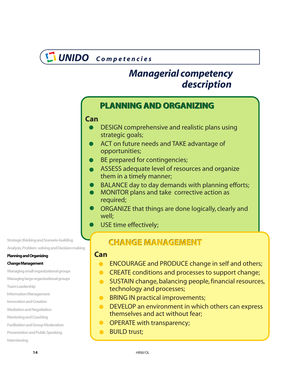# *description Managerial competency*

### <span id="page-15-0"></span>**PLANNING AND ORGANIZING PLANNING AND ORGANIZING**

### **Can**

- DESIGN comprehensive and realistic plans using strategic goals;
- ACT on future needs and TAKE advantage of opportunities;
- BE prepared for contingencies;
- ASSESS adequate level of resources and organize them in a timely manner;
- BALANCE day to day demands with planning efforts;
- MONITOR plans and take corrective action as required;
- ORGANIZE that things are done logically, clearly and well;
- USE time effectively;

### **CHANGE MANAGEMENT CHANGE MANAGEMENT**

### **Can**

- ENCOURAGE and PRODUCE change in self and others;  $\bullet$
- **CREATE conditions and processes to support change;**
- **SUSTAIN change, balancing people, financial resources,** technology and processes;
- **BRING IN practical improvements;**
- **OF DEVELOP an environment in which others can express** themselves and act without fear;
- **OPERATE with transparency;**
- BUILD trust;  $\bullet$

**Strategic thinking and Scenario-building [Analysis, Problem -solving and Decision makin](#page-14-0)g**

#### **Planning and Organizing**

#### **Change Management**

**[Managing small organizational groups](#page-16-0)**

**Managing large organizational groups**

**Team Leadership**

- **[Information Management](#page-17-0)**
- **Innovation and Creation**
- **[Mediation and Negotiation](#page-18-0)**
- **Mentoring and Coaching**
- **[Facilitation and Group Moderation](#page-19-0)**
- **[Presentation and Public Speaking](#page-20-0)**

**Interviewing**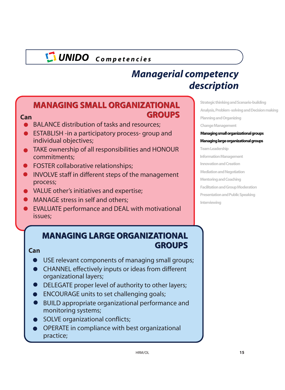# *Managerial competency description*

### <span id="page-16-0"></span>**MANAGING SMALL ORGANIZATIONAL MANAGING SMALL ORGANIZATIONAL GROUPS Can GROUPS**

- BALANCE distribution of tasks and resources;
- ESTABLISH -in a participatory process- group and individual objectives;
- TAKE ownership of all responsibilities and HONOUR commitments;
- FOSTER collaborative relationships;
- INVOLVE staff in different steps of the management process;
- VALUE other's initiatives and expertise;
- MANAGE stress in self and others;
- EVALUATE performance and DEAL with motivational issues;

# **MANAGING LARGE ORGANIZATIONAL MANAGING LARGE ORGANIZATIONAL GROUPS GROUPS Can**

- USE relevant components of managing small groups;  $\bullet$
- CHANNEL effectively inputs or ideas from different organizational layers;
- DELEGATE proper level of authority to other layers;
- **ENCOURAGE units to set challenging goals;**
- BUILD appropriate organizational performance and monitoring systems;
- SOLVE organizational conflicts;
- OPERATE in compliance with best organizational practice;

**Strategic thinking and Scenario-building [Analysis, Problem -solving and Decision making](#page-14-0) [Planning and Organizing](#page-15-0) Change Management Managing small organizational groups**

**Managing large organizational groups Team Leadership**

**[Information Management](#page-17-0)**

**[Innovation and Creation](#page-18-0)**

**Mediation and Negotiation**

- **[Mentoring and Coaching](#page-19-0)**
- **Facilitation and Group Moderation**
- **[Presentation and Public Speaking](#page-20-0)**

**Interviewing**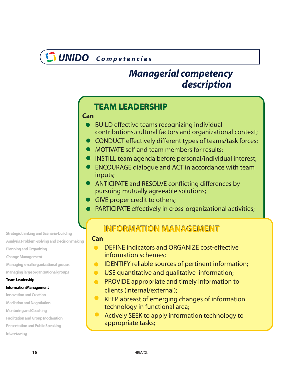# *description Managerial competency*

### <span id="page-17-0"></span>**TEAM LEADERSHIP TEAM LEADERSHIP**

- BUILD effective teams recognizing individual contributions, cultural factors and organizational context;
- CONDUCT effectively different types of teams/task forces;
- **MOTIVATE self and team members for results;**
- INSTILL team agenda before personal/individual interest;
- ENCOURAGE dialogue and ACT in accordance with team inputs; **INFORMATION MANAGEMENTCan**
	- ANTICIPATE and RESOLVE conflicting differences by pursuing mutually agreeable solutions;
	- GIVE proper credit to others;
	- PARTICIPATE effectively in cross-organizational activities;

### **INFORMATION MANAGEMENT**

#### **Can**

- DEFINE indicators and ORGANIZE cost-effective  $\bullet$ information schemes;
- IDENTIFY reliable sources of pertinent information;  $\bullet$
- USE quantitative and qualitative information;  $\bullet$
- **PROVIDE appropriate and timely information to** clients (internal/external);
- KEEP abreast of emerging changes of information technology in functional area;
- Actively SEEK to apply information technology to appropriate tasks;

**Strategic thinking and Scenario-building**

**[Analysis, Problem -solving and Decision making](#page-14-0)**

**[Planning and Organizing](#page-15-0)**

**Change Management**

**Managing small organizational groups**

**[Managing large organizational groups](#page-16-0)**

#### **Team Leadership**

#### **Information Management**

**Innovation and Creation**

- **[Mediation and Negotiation](#page-18-0)**
- **Mentoring and Coaching**
- **[Facilitation and Group Moderation](#page-19-0)**
- **[Presentation and Public Speaking](#page-20-0)**

**Interviewing**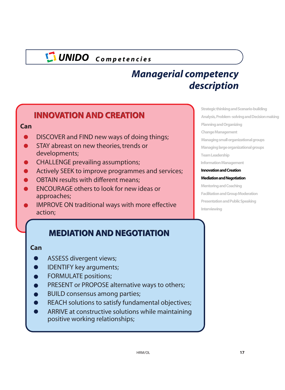# *Managerial competency description*

### <span id="page-18-0"></span>**INNOVATION AND CREATION INNOVATION AND CREATION**

#### **Can**

- DISCOVER and FIND new ways of doing things;
- STAY abreast on new theories, trends or developments;
- CHALLENGE prevailing assumptions;
- Actively SEEK to improve programmes and services;
- OBTAIN results with different means;
- ENCOURAGE others to look for new ideas or approaches;
- IMPROVE ON traditional ways with more effective action;

### **MEDIATION AND NEGOTIATION MEDIATION AND NEGOTIATION**

#### **Can**

- ASSESS divergent views;
- IDENTIFY key arguments;
- FORMULATE positions;
- PRESENT or PROPOSE alternative ways to others;
- BUILD consensus among parties;
- REACH solutions to satisfy fundamental objectives;
- ARRIVE at constructive solutions while maintaining  $\bullet$ positive working relationships;

**Strategic thinking and Scenario-building [Analysis, Problem -solving and Decision making](#page-14-0) [Planning and Organizing](#page-15-0) Change Management [Managing small organizational groups](#page-16-0) Managing large organizational groups [Team Leadership](#page-17-0) Information Management Innovation and Creation**

#### **Mediation and Negotiation**

**Mentoring and Coaching [Facilitation and Group Moderation](#page-19-0) [Presentation and Public Speaking](#page-20-0) Interviewing**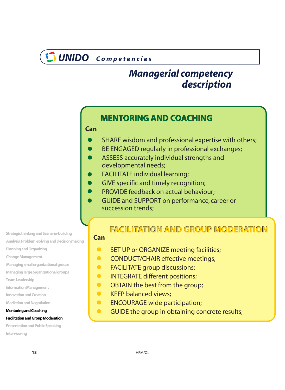# <span id="page-19-0"></span>*description Managerial competency*

### **MENTORING AND COACHING MENTORING AND COACHING**

#### **Can**

- SHARE wisdom and professional expertise with others;
- BE ENGAGED regularly in professional exchanges;
- ASSESS accurately individual strengths and developmental needs;
- FACILITATE individual learning;
- GIVE specific and timely recognition;
- PROVIDE feedback on actual behaviour;
- GUIDE and SUPPORT on performance, career or succession trends;

**Strategic thinking and Scenario-building**

**[Analysis, Problem -solving and Decision making](#page-14-0)**

**Planning and Organizing**

**[Change Management](#page-15-0)**

**Managing small organizational groups**

**[Managing large organizatio](#page-16-0)nal groups**

**Team Leadership**

**[Information Management](#page-17-0)**

**Innovation and Creation**

**[Mediation and Negotiation](#page-18-0)**

#### **Mentoring and Coaching**

#### **Facilitation and Group Moderation**

**[Presentation and Public Speaking](#page-20-0)**

**Interviewing**

### **FACILITATION AND GROUP MODERATION FACILITATION AND GROUP MODERATION**

#### **Can**

- $\bullet$ SET UP or ORGANIZE meeting facilities;
- $\bullet$ CONDUCT/CHAIR effective meetings;
- $\bullet$ FACILITATE group discussions;
- INTEGRATE different positions;  $\bullet$
- $\bullet$ OBTAIN the best from the group;
- $\bullet$ KEEP balanced views;
- $\bullet$ ENCOURAGE wide participation;
- $\bullet$ GUIDE the group in obtaining concrete results;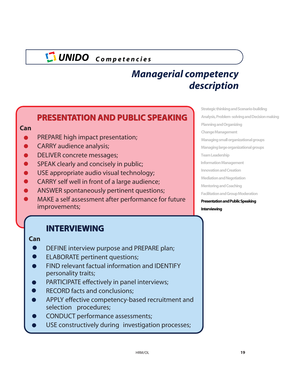# *Managerial competency description*

### <span id="page-20-0"></span>**PRESENTATION AND PUBLIC SPEAKING PRESENTATION AND PUBLIC SPEAKING**

#### **Can**

- PREPARE high impact presentation;
- CARRY audience analysis;
- DELIVER concrete messages;
- SPEAK clearly and concisely in public;
- USE appropriate audio visual technology;
- CARRY self well in front of a large audience;
- ANSWER spontaneously pertinent questions;
- MAKE a self assessment after performance for future improvements;

### **INTERVIEWING INTERVIEWING**

#### **Can**

- DEFINE interview purpose and PREPARE plan;
- ELABORATE pertinent questions;
- FIND relevant factual information and IDENTIFY personality traits;
- PARTICIPATE effectively in panel interviews;
- RECORD facts and conclusions;
- APPLY effective competency-based recruitment and selection procedures;
- CONDUCT performance assessments;
- USE constructively during investigation processes;

**[Strategic thinking and Scenario-building](#page-14-0) Analysis, Problem -solving and Decision making [Planning and Organizing](#page-15-0) Change Management [Managing small organizational groups](#page-16-0) Managing large organizational groups [Team Leadership](#page-17-0) Information Management I[nnovation and Creation](#page-18-0) Mediation and Negotiation [Mentoring and Coaching](#page-19-0) Facilitation and Group Moderation Presentation and Public Speaking Interviewing**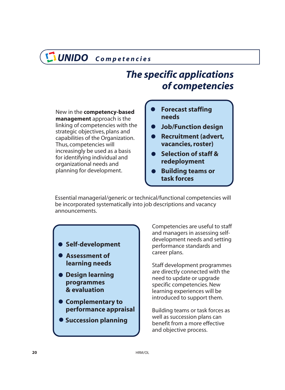# *The specific applications of competencies*

<span id="page-21-0"></span>New in the **competency-based** management approach is the linking of competencies with the strategic objectives, plans and capabilities of the Organization. Thus, competencies will increasingly be used as a basis for identifying individual and organizational needs and planning for development.

- **Forecast staffing needs**
- **Job/Function design**
- **Recruitment (advert, vacancies, roster)**
- **Selection of staff & redeployment**
- **Building teams or task forces**

Essential managerial/generic or technical/functional competencies will be incorporated systematically into job descriptions and vacancy announcements.

- **Self-development**
- **Assessment of learning needs**
- **Design learning programmes & evaluation**
- **Complementary to performance appraisal**
- **Succession planning**

Competencies are useful to staff and managers in assessing selfdevelopment needs and setting performance standards and career plans.

Staff development programmes are directly connected with the need to update or upgrade specific competencies. New learning experiences will be introduced to support them.

Building teams or task forces as well as succession plans can benefit from a more effective and objective process.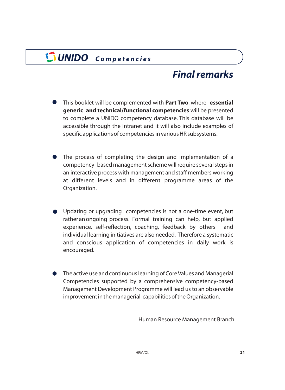# *Final remarks*

- <span id="page-22-0"></span>This booklet will be complemented with Part Two, where essential generic and technical/functional competencies will be presented to complete a UNIDO competency database. This database will be accessible through the Intranet and it will also include examples of specific applications of competencies in various HR subsystems.
- The process of completing the design and implementation of a competency- based management scheme will require several steps in an interactive process with management and staff members working at different levels and in different programme areas of the Organization.
- Updating or upgrading competencies is not a one-time event, but rather an ongoing process. Formal training can help, but applied experience, self-reflection, coaching, feedback by others and individual learning initiatives are also needed. Therefore a systematic and conscious application of competencies in daily work is encouraged.
- The active use and continuous learning of Core Values and Managerial Competencies supported by a comprehensive competency-based Management Development Programme will lead us to an observable improvement in the managerial capabilities of the Organization.

Human Resource Management Branch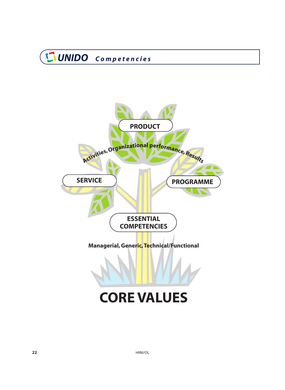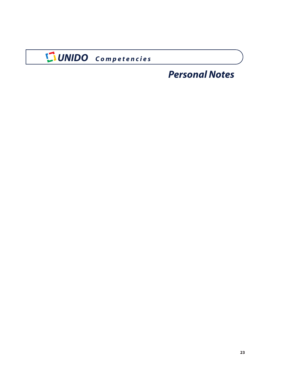# *Personal Notes*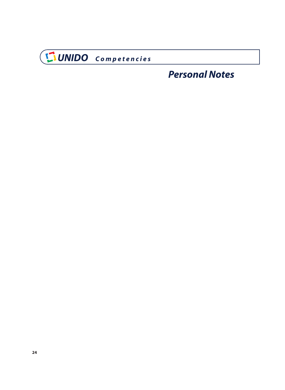

# *Personal Notes*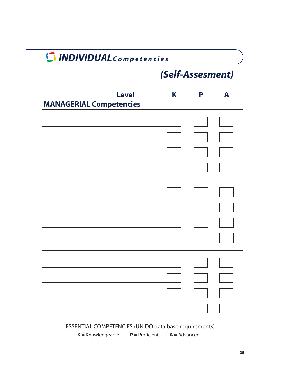# *INDIVIDUALC o m p e t e n c i e s*

# *(Self-Assesment)*

| <b>Level</b>                   | K | P                        | A |
|--------------------------------|---|--------------------------|---|
| <b>MANAGERIAL Competencies</b> |   |                          |   |
|                                |   |                          |   |
|                                |   |                          |   |
|                                |   |                          |   |
|                                |   |                          |   |
|                                |   |                          |   |
|                                |   |                          |   |
|                                |   |                          |   |
|                                |   |                          |   |
|                                |   |                          |   |
|                                |   | $\overline{\phantom{a}}$ |   |
|                                |   |                          |   |
|                                |   | $\mathbf{I}$             |   |

ESSENTIAL COMPETENCIES (UNIDO data base requirements)

 $K =$  Knowledgeable  $P =$  Proficient  $A =$  Advanced